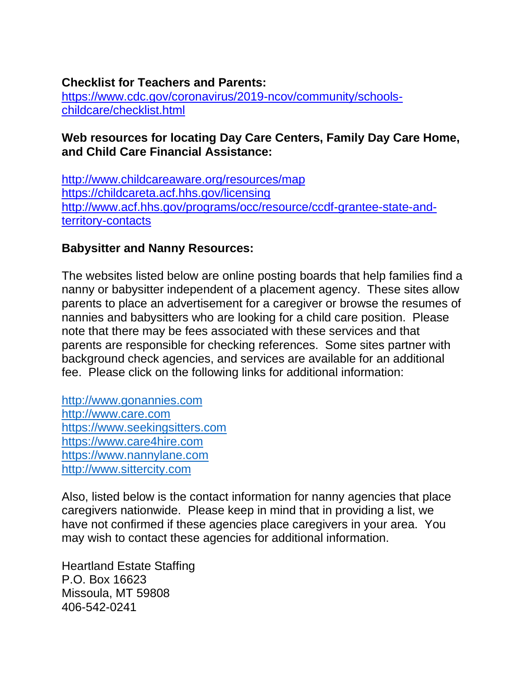## **Checklist for Teachers and Parents:**

[https://www.cdc.gov/coronavirus/2019-ncov/community/schools](https://www.cdc.gov/coronavirus/2019-ncov/community/schools-childcare/checklist.html)[childcare/checklist.html](https://www.cdc.gov/coronavirus/2019-ncov/community/schools-childcare/checklist.html)

## **Web resources for locating Day Care Centers, Family Day Care Home, and Child Care Financial Assistance:**

<http://www.childcareaware.org/resources/map> <https://childcareta.acf.hhs.gov/licensing> [http://www.acf.hhs.gov/programs/occ/resource/ccdf-grantee-state-and](http://www.acf.hhs.gov/programs/occ/resource/ccdf-grantee-state-and-territory-contacts)[territory-contacts](http://www.acf.hhs.gov/programs/occ/resource/ccdf-grantee-state-and-territory-contacts)

## **Babysitter and Nanny Resources:**

The websites listed below are online posting boards that help families find a nanny or babysitter independent of a placement agency. These sites allow parents to place an advertisement for a caregiver or browse the resumes of nannies and babysitters who are looking for a child care position. Please note that there may be fees associated with these services and that parents are responsible for checking references. Some sites partner with background check agencies, and services are available for an additional fee. Please click on the following links for additional information:

[http://www.gonannies.com](http://www.gonannies.com/) [http://www.care.com](http://www.care.com/) [https://www.seekingsitters.com](https://www.seekingsitters.com/) [https://www.care4hire.com](https://www.care4hire.com/) [https://www.nannylane.com](https://www.nannylane.com/) [http://www.sittercity.com](http://www.sittercity.com/)

Also, listed below is the contact information for nanny agencies that place caregivers nationwide. Please keep in mind that in providing a list, we have not confirmed if these agencies place caregivers in your area. You may wish to contact these agencies for additional information.

Heartland Estate Staffing P.O. Box 16623 Missoula, MT 59808 406-542-0241